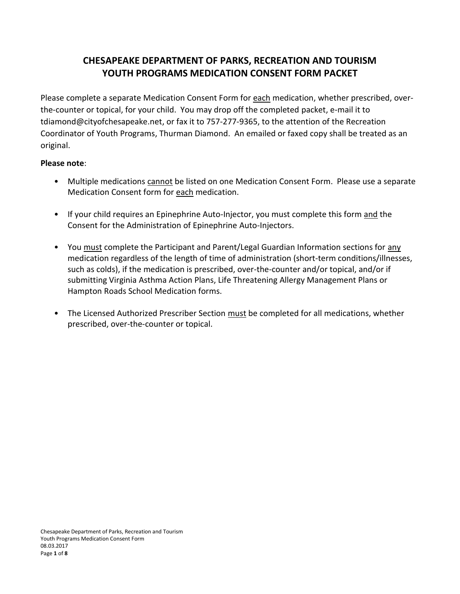# **CHESAPEAKE DEPARTMENT OF PARKS, RECREATION AND TOURISM YOUTH PROGRAMS MEDICATION CONSENT FORM PACKET**

Please complete a separate Medication Consent Form for each medication, whether prescribed, overthe-counter or topical, for your child. You may drop off the completed packet, e-mail it to tdiamond@cityofchesapeake.net, or fax it to 757-277-9365, to the attention of the Recreation Coordinator of Youth Programs, Thurman Diamond. An emailed or faxed copy shall be treated as an original.

### **Please note**:

- Multiple medications cannot be listed on one Medication Consent Form. Please use a separate Medication Consent form for each medication.
- If your child requires an Epinephrine Auto-Injector, you must complete this form and the Consent for the Administration of Epinephrine Auto-Injectors.
- You must complete the Participant and Parent/Legal Guardian Information sections for any medication regardless of the length of time of administration (short-term conditions/illnesses, such as colds), if the medication is prescribed, over-the-counter and/or topical, and/or if submitting Virginia Asthma Action Plans, Life Threatening Allergy Management Plans or Hampton Roads School Medication forms.
- The Licensed Authorized Prescriber Section must be completed for all medications, whether prescribed, over-the-counter or topical.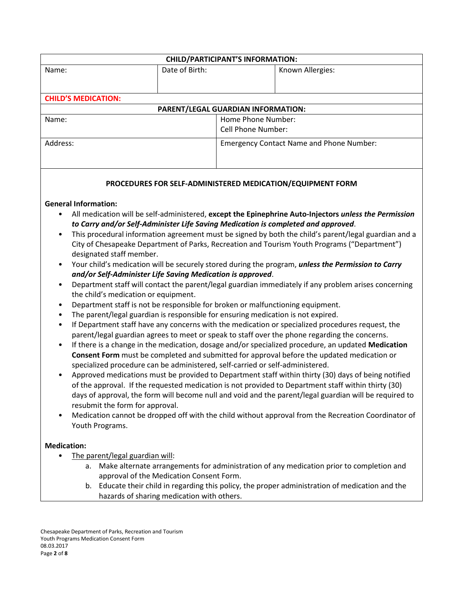| <b>CHILD/PARTICIPANT'S INFORMATION:</b> |                    |                                                 |                  |
|-----------------------------------------|--------------------|-------------------------------------------------|------------------|
| Name:                                   | Date of Birth:     |                                                 | Known Allergies: |
|                                         |                    |                                                 |                  |
|                                         |                    |                                                 |                  |
| <b>CHILD'S MEDICATION:</b>              |                    |                                                 |                  |
| PARENT/LEGAL GUARDIAN INFORMATION:      |                    |                                                 |                  |
| Name:                                   | Home Phone Number: |                                                 |                  |
|                                         |                    | <b>Cell Phone Number:</b>                       |                  |
| Address:                                |                    | <b>Emergency Contact Name and Phone Number:</b> |                  |
|                                         |                    |                                                 |                  |
|                                         |                    |                                                 |                  |
|                                         |                    |                                                 |                  |

#### **PROCEDURES FOR SELF-ADMINISTERED MEDICATION/EQUIPMENT FORM**

#### **General Information:**

- All medication will be self-administered, **except the Epinephrine Auto-Injectors** *unless the Permission to Carry and/or Self-Administer Life Saving Medication is completed and approved*.
- This procedural information agreement must be signed by both the child's parent/legal guardian and a City of Chesapeake Department of Parks, Recreation and Tourism Youth Programs ("Department") designated staff member.
- Your child's medication will be securely stored during the program, *unless the Permission to Carry and/or Self-Administer Life Saving Medication is approved*.
- Department staff will contact the parent/legal guardian immediately if any problem arises concerning the child's medication or equipment.
- Department staff is not be responsible for broken or malfunctioning equipment.
- The parent/legal guardian is responsible for ensuring medication is not expired.
- If Department staff have any concerns with the medication or specialized procedures request, the parent/legal guardian agrees to meet or speak to staff over the phone regarding the concerns.
- If there is a change in the medication, dosage and/or specialized procedure, an updated **Medication Consent Form** must be completed and submitted for approval before the updated medication or specialized procedure can be administered, self-carried or self-administered.
- Approved medications must be provided to Department staff within thirty (30) days of being notified of the approval. If the requested medication is not provided to Department staff within thirty (30) days of approval, the form will become null and void and the parent/legal guardian will be required to resubmit the form for approval.
- Medication cannot be dropped off with the child without approval from the Recreation Coordinator of Youth Programs.

#### **Medication:**

- The parent/legal guardian will:
	- a. Make alternate arrangements for administration of any medication prior to completion and approval of the Medication Consent Form.
	- b. Educate their child in regarding this policy, the proper administration of medication and the hazards of sharing medication with others.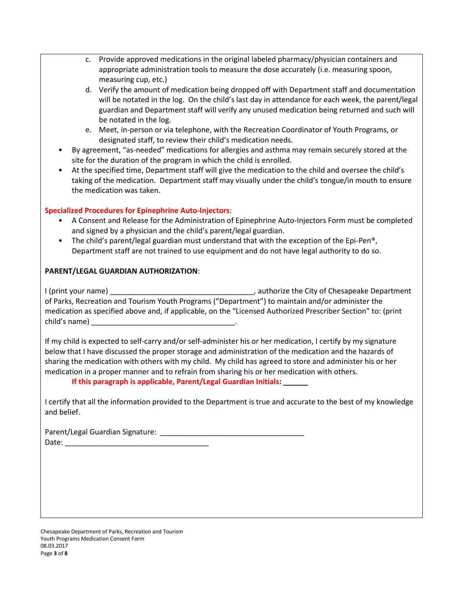- c. Provide approved medications in the original labeled pharmacy/physician containers and appropriate administration tools to measure the dose accurately (i.e. measuring spoon, measuring cup, etc.)
- d. Verify the amount of medication being dropped off with Department staff and documentation will be notated in the log. On the child's last day in attendance for each week, the parent/legal guardian and Department staff will verify any unused medication being returned and such will be notated in the log.
- e. Meet, in-person or via telephone, with the Recreation Coordinator of Youth Programs, or designated staff, to review their child's medication needs.
- By agreement, "as-needed" medications for allergies and asthma may remain securely stored at the site for the duration of the program in which the child is enrolled.
- At the specified time, Department staff will give the medication to the child and oversee the child's taking of the medication. Department staff may visually under the child's tongue/in mouth to ensure the medication was taken.

#### **Specialized Procedures for Epinephrine Auto-Injectors**:

- A Consent and Release for the Administration of Epinephrine Auto-Injectors Form must be completed and signed by a physician and the child's parent/legal guardian.
- The child's parent/legal guardian must understand that with the exception of the Epi-Pen<sup>®</sup>, Department staff are not trained to use equipment and do not have legal authority to do so.

#### **PARENT/LEGAL GUARDIAN AUTHORIZATION**:

I (print your name) **Fig. 2** authorize the City of Chesapeake Department of Parks, Recreation and Tourism Youth Programs ("Department") to maintain and/or administer the medication as specified above and, if applicable, on the "Licensed Authorized Prescriber Section" to: (print child's name) \_\_\_\_\_\_\_\_\_\_\_\_\_\_\_\_\_\_\_\_\_\_\_\_\_\_\_\_\_\_\_\_\_\_\_.

If my child is expected to self-carry and/or self-administer his or her medication, I certify by my signature below that I have discussed the proper storage and administration of the medication and the hazards of sharing the medication with others with my child. My child has agreed to store and administer his or her medication in a proper manner and to refrain from sharing his or her medication with others.

**If this paragraph is applicable, Parent/Legal Guardian Initials: \_\_\_\_\_\_**

I certify that all the information provided to the Department is true and accurate to the best of my knowledge and belief.

Parent/Legal Guardian Signature: \_\_\_\_\_\_\_\_\_\_\_\_\_\_\_\_\_\_\_\_\_\_\_\_\_\_\_\_\_\_\_\_\_\_\_ Date: \_\_\_\_\_\_\_\_\_\_\_\_\_\_\_\_\_\_\_\_\_\_\_\_\_\_\_\_\_\_\_\_\_\_\_

Chesapeake Department of Parks, Recreation and Tourism Youth Programs Medication Consent Form 08.03.2017 Page **3** of **8**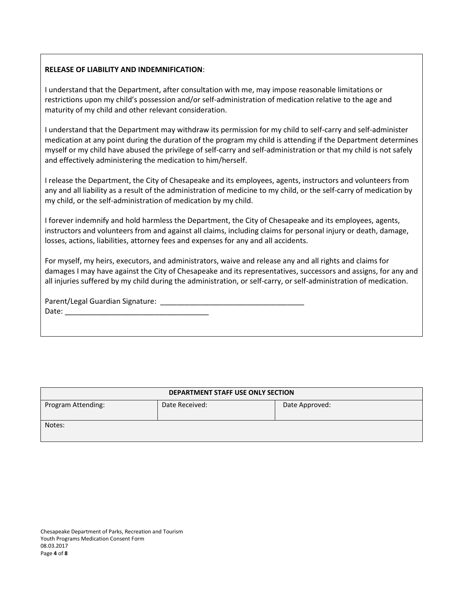#### **RELEASE OF LIABILITY AND INDEMNIFICATION**:

I understand that the Department, after consultation with me, may impose reasonable limitations or restrictions upon my child's possession and/or self-administration of medication relative to the age and maturity of my child and other relevant consideration.

I understand that the Department may withdraw its permission for my child to self-carry and self-administer medication at any point during the duration of the program my child is attending if the Department determines myself or my child have abused the privilege of self-carry and self-administration or that my child is not safely and effectively administering the medication to him/herself.

I release the Department, the City of Chesapeake and its employees, agents, instructors and volunteers from any and all liability as a result of the administration of medicine to my child, or the self-carry of medication by my child, or the self-administration of medication by my child.

I forever indemnify and hold harmless the Department, the City of Chesapeake and its employees, agents, instructors and volunteers from and against all claims, including claims for personal injury or death, damage, losses, actions, liabilities, attorney fees and expenses for any and all accidents.

For myself, my heirs, executors, and administrators, waive and release any and all rights and claims for damages I may have against the City of Chesapeake and its representatives, successors and assigns, for any and all injuries suffered by my child during the administration, or self-carry, or self-administration of medication.

Parent/Legal Guardian Signature: \_\_\_\_\_\_\_\_\_\_\_\_\_\_\_\_\_\_\_\_\_\_\_\_\_\_\_\_\_\_\_\_\_\_\_

Date: \_\_\_\_\_\_\_\_\_\_\_\_\_\_\_\_\_\_\_\_\_\_\_\_\_\_\_\_\_\_\_\_\_\_\_

| DEPARTMENT STAFF USE ONLY SECTION |                |                |  |
|-----------------------------------|----------------|----------------|--|
| Program Attending:                | Date Received: | Date Approved: |  |
| Notes:                            |                |                |  |

Chesapeake Department of Parks, Recreation and Tourism Youth Programs Medication Consent Form 08.03.2017 Page **4** of **8**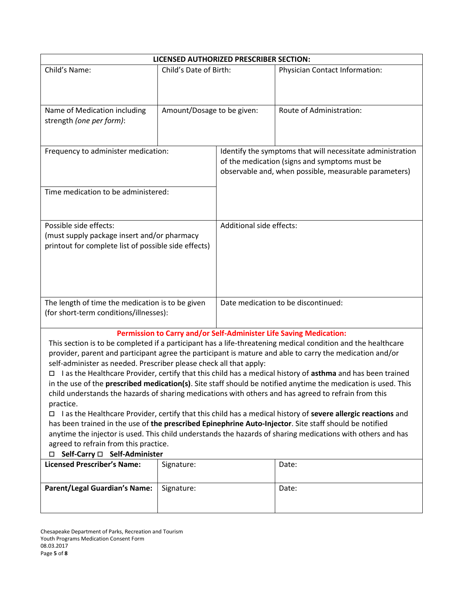| LICENSED AUTHORIZED PRESCRIBER SECTION:                                                                                     |                                                                                                                                                                                |                                                       |                                                                                                              |
|-----------------------------------------------------------------------------------------------------------------------------|--------------------------------------------------------------------------------------------------------------------------------------------------------------------------------|-------------------------------------------------------|--------------------------------------------------------------------------------------------------------------|
| Child's Name:                                                                                                               | Child's Date of Birth:                                                                                                                                                         |                                                       | <b>Physician Contact Information:</b>                                                                        |
|                                                                                                                             |                                                                                                                                                                                |                                                       |                                                                                                              |
| Name of Medication including                                                                                                | Amount/Dosage to be given:                                                                                                                                                     |                                                       | Route of Administration:                                                                                     |
| strength (one per form):                                                                                                    |                                                                                                                                                                                |                                                       |                                                                                                              |
|                                                                                                                             |                                                                                                                                                                                |                                                       |                                                                                                              |
| Frequency to administer medication:                                                                                         |                                                                                                                                                                                |                                                       | Identify the symptoms that will necessitate administration                                                   |
|                                                                                                                             |                                                                                                                                                                                | of the medication (signs and symptoms must be         |                                                                                                              |
|                                                                                                                             |                                                                                                                                                                                | observable and, when possible, measurable parameters) |                                                                                                              |
| Time medication to be administered:                                                                                         |                                                                                                                                                                                |                                                       |                                                                                                              |
|                                                                                                                             |                                                                                                                                                                                |                                                       |                                                                                                              |
|                                                                                                                             |                                                                                                                                                                                |                                                       |                                                                                                              |
| Possible side effects:                                                                                                      |                                                                                                                                                                                | Additional side effects:                              |                                                                                                              |
| (must supply package insert and/or pharmacy<br>printout for complete list of possible side effects)                         |                                                                                                                                                                                |                                                       |                                                                                                              |
|                                                                                                                             |                                                                                                                                                                                |                                                       |                                                                                                              |
|                                                                                                                             |                                                                                                                                                                                |                                                       |                                                                                                              |
|                                                                                                                             |                                                                                                                                                                                |                                                       |                                                                                                              |
|                                                                                                                             |                                                                                                                                                                                |                                                       |                                                                                                              |
| The length of time the medication is to be given                                                                            |                                                                                                                                                                                | Date medication to be discontinued:                   |                                                                                                              |
| (for short-term conditions/illnesses):                                                                                      |                                                                                                                                                                                |                                                       |                                                                                                              |
|                                                                                                                             |                                                                                                                                                                                |                                                       | Permission to Carry and/or Self-Administer Life Saving Medication:                                           |
|                                                                                                                             |                                                                                                                                                                                |                                                       | This section is to be completed if a participant has a life-threatening medical condition and the healthcare |
|                                                                                                                             | provider, parent and participant agree the participant is mature and able to carry the medication and/or<br>self-administer as needed. Prescriber please check all that apply: |                                                       |                                                                                                              |
| 0                                                                                                                           |                                                                                                                                                                                |                                                       | I as the Healthcare Provider, certify that this child has a medical history of asthma and has been trained   |
|                                                                                                                             | in the use of the <b>prescribed medication(s)</b> . Site staff should be notified anytime the medication is used. This                                                         |                                                       |                                                                                                              |
| child understands the hazards of sharing medications with others and has agreed to refrain from this                        |                                                                                                                                                                                |                                                       |                                                                                                              |
| practice.<br>□ I as the Healthcare Provider, certify that this child has a medical history of severe allergic reactions and |                                                                                                                                                                                |                                                       |                                                                                                              |
| has been trained in the use of the prescribed Epinephrine Auto-Injector. Site staff should be notified                      |                                                                                                                                                                                |                                                       |                                                                                                              |
| anytime the injector is used. This child understands the hazards of sharing medications with others and has                 |                                                                                                                                                                                |                                                       |                                                                                                              |
| agreed to refrain from this practice.                                                                                       |                                                                                                                                                                                |                                                       |                                                                                                              |
| □ Self-Carry □ Self-Administer<br><b>Licensed Prescriber's Name:</b>                                                        | Signature:                                                                                                                                                                     |                                                       | Date:                                                                                                        |
|                                                                                                                             |                                                                                                                                                                                |                                                       |                                                                                                              |
| <b>Parent/Legal Guardian's Name:</b>                                                                                        | Signature:                                                                                                                                                                     |                                                       | Date:                                                                                                        |
|                                                                                                                             |                                                                                                                                                                                |                                                       |                                                                                                              |
|                                                                                                                             |                                                                                                                                                                                |                                                       |                                                                                                              |

Chesapeake Department of Parks, Recreation and Tourism Youth Programs Medication Consent Form 08.03.2017 Page **5** of **8**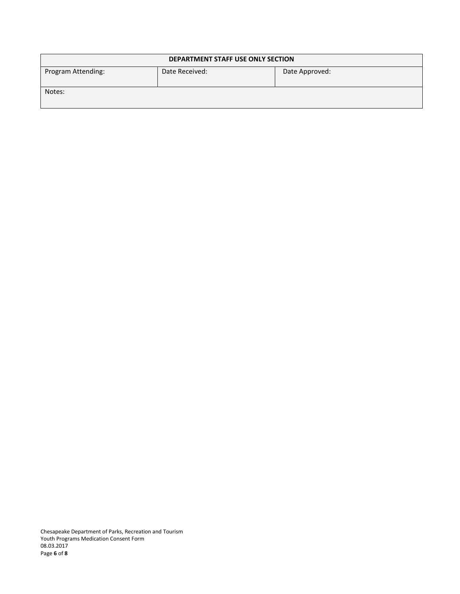| <b>DEPARTMENT STAFF USE ONLY SECTION</b> |                |                |  |
|------------------------------------------|----------------|----------------|--|
| Program Attending:                       | Date Received: | Date Approved: |  |
| Notes:                                   |                |                |  |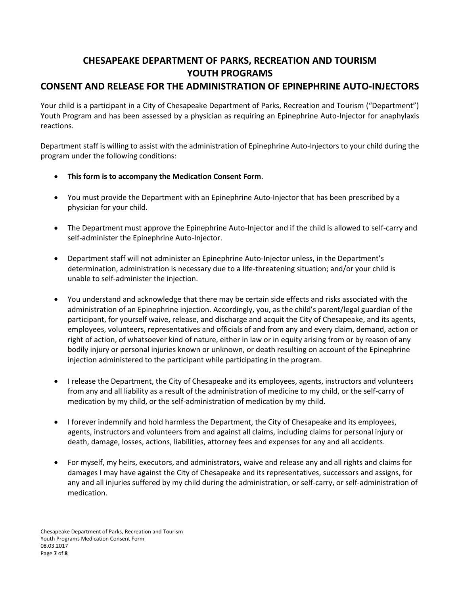# **CHESAPEAKE DEPARTMENT OF PARKS, RECREATION AND TOURISM YOUTH PROGRAMS CONSENT AND RELEASE FOR THE ADMINISTRATION OF EPINEPHRINE AUTO-INJECTORS**

Your child is a participant in a City of Chesapeake Department of Parks, Recreation and Tourism ("Department") Youth Program and has been assessed by a physician as requiring an Epinephrine Auto-Injector for anaphylaxis reactions.

Department staff is willing to assist with the administration of Epinephrine Auto-Injectors to your child during the program under the following conditions:

- **This form is to accompany the Medication Consent Form**.
- You must provide the Department with an Epinephrine Auto-Injector that has been prescribed by a physician for your child.
- The Department must approve the Epinephrine Auto-Injector and if the child is allowed to self-carry and self-administer the Epinephrine Auto-Injector.
- Department staff will not administer an Epinephrine Auto-Injector unless, in the Department's determination, administration is necessary due to a life-threatening situation; and/or your child is unable to self-administer the injection.
- You understand and acknowledge that there may be certain side effects and risks associated with the administration of an Epinephrine injection. Accordingly, you, as the child's parent/legal guardian of the participant, for yourself waive, release, and discharge and acquit the City of Chesapeake, and its agents, employees, volunteers, representatives and officials of and from any and every claim, demand, action or right of action, of whatsoever kind of nature, either in law or in equity arising from or by reason of any bodily injury or personal injuries known or unknown, or death resulting on account of the Epinephrine injection administered to the participant while participating in the program.
- I release the Department, the City of Chesapeake and its employees, agents, instructors and volunteers from any and all liability as a result of the administration of medicine to my child, or the self-carry of medication by my child, or the self-administration of medication by my child.
- I forever indemnify and hold harmless the Department, the City of Chesapeake and its employees, agents, instructors and volunteers from and against all claims, including claims for personal injury or death, damage, losses, actions, liabilities, attorney fees and expenses for any and all accidents.
- For myself, my heirs, executors, and administrators, waive and release any and all rights and claims for damages I may have against the City of Chesapeake and its representatives, successors and assigns, for any and all injuries suffered by my child during the administration, or self-carry, or self-administration of medication.